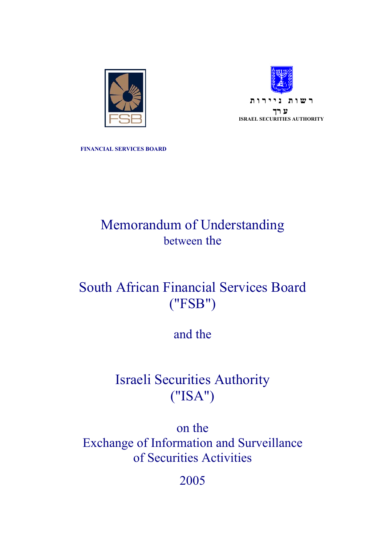



**FINANCIAL SERVICES BOARD** 

# Memorandum of Understanding between the

# South African Financial Services Board ("FSB")

## and the

## Israeli Securities Authority ("ISA")

on the Exchange of Information and Surveillance of Securities Activities

2005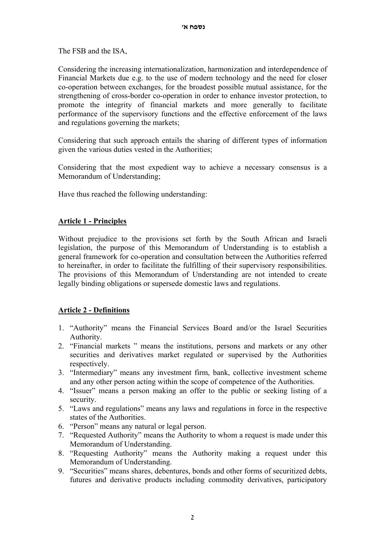The FSB and the ISA,

Considering the increasing internationalization, harmonization and interdependence of Financial Markets due e.g. to the use of modern technology and the need for closer co-operation between exchanges, for the broadest possible mutual assistance, for the strengthening of cross-border co-operation in order to enhance investor protection, to promote the integrity of financial markets and more generally to facilitate performance of the supervisory functions and the effective enforcement of the laws and regulations governing the markets;

Considering that such approach entails the sharing of different types of information given the various duties vested in the Authorities;

Considering that the most expedient way to achieve a necessary consensus is a Memorandum of Understanding;

Have thus reached the following understanding:

#### **Article 1 - Principles**

Without prejudice to the provisions set forth by the South African and Israeli legislation, the purpose of this Memorandum of Understanding is to establish a general framework for co-operation and consultation between the Authorities referred to hereinafter, in order to facilitate the fulfilling of their supervisory responsibilities. The provisions of this Memorandum of Understanding are not intended to create legally binding obligations or supersede domestic laws and regulations.

## **Article 2 - Definitions**

- 1. "Authority" means the Financial Services Board and/or the Israel Securities Authority.
- 2. "Financial markets " means the institutions, persons and markets or any other securities and derivatives market regulated or supervised by the Authorities respectively.
- 3. "Intermediary" means any investment firm, bank, collective investment scheme and any other person acting within the scope of competence of the Authorities.
- 4. "Issuer" means a person making an offer to the public or seeking listing of a security.
- 5. "Laws and regulations" means any laws and regulations in force in the respective states of the Authorities.
- 6. "Person" means any natural or legal person.
- 7. "Requested Authority" means the Authority to whom a request is made under this Memorandum of Understanding.
- 8. "Requesting Authority" means the Authority making a request under this Memorandum of Understanding.
- 9. "Securities" means shares, debentures, bonds and other forms of securitized debts, futures and derivative products including commodity derivatives, participatory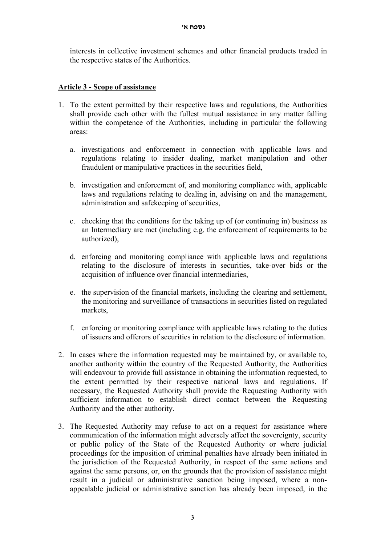interests in collective investment schemes and other financial products traded in the respective states of the Authorities.

## **Article 3 - Scope of assistance**

- 1. To the extent permitted by their respective laws and regulations, the Authorities shall provide each other with the fullest mutual assistance in any matter falling within the competence of the Authorities, including in particular the following areas:
	- a. investigations and enforcement in connection with applicable laws and regulations relating to insider dealing, market manipulation and other fraudulent or manipulative practices in the securities field,
	- b. investigation and enforcement of, and monitoring compliance with, applicable laws and regulations relating to dealing in, advising on and the management, administration and safekeeping of securities,
	- c. checking that the conditions for the taking up of (or continuing in) business as an Intermediary are met (including e.g. the enforcement of requirements to be authorized),
	- d. enforcing and monitoring compliance with applicable laws and regulations relating to the disclosure of interests in securities, take-over bids or the acquisition of influence over financial intermediaries,
	- e. the supervision of the financial markets, including the clearing and settlement, the monitoring and surveillance of transactions in securities listed on regulated markets,
	- f. enforcing or monitoring compliance with applicable laws relating to the duties of issuers and offerors of securities in relation to the disclosure of information.
- 2. In cases where the information requested may be maintained by, or available to, another authority within the country of the Requested Authority, the Authorities will endeavour to provide full assistance in obtaining the information requested, to the extent permitted by their respective national laws and regulations. If necessary, the Requested Authority shall provide the Requesting Authority with sufficient information to establish direct contact between the Requesting Authority and the other authority.
- 3. The Requested Authority may refuse to act on a request for assistance where communication of the information might adversely affect the sovereignty, security or public policy of the State of the Requested Authority or where judicial proceedings for the imposition of criminal penalties have already been initiated in the jurisdiction of the Requested Authority, in respect of the same actions and against the same persons, or, on the grounds that the provision of assistance might result in a judicial or administrative sanction being imposed, where a nonappealable judicial or administrative sanction has already been imposed, in the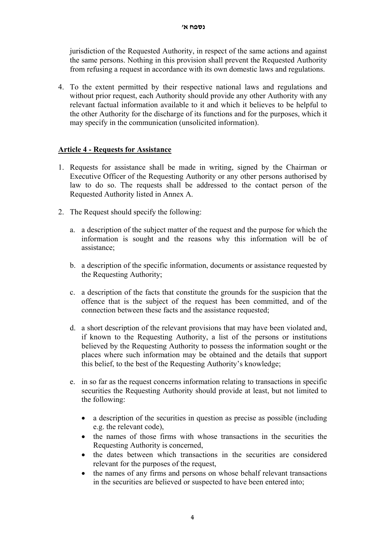jurisdiction of the Requested Authority, in respect of the same actions and against the same persons. Nothing in this provision shall prevent the Requested Authority from refusing a request in accordance with its own domestic laws and regulations.

4. To the extent permitted by their respective national laws and regulations and without prior request, each Authority should provide any other Authority with any relevant factual information available to it and which it believes to be helpful to the other Authority for the discharge of its functions and for the purposes, which it may specify in the communication (unsolicited information).

#### **Article 4 - Requests for Assistance**

- 1. Requests for assistance shall be made in writing, signed by the Chairman or Executive Officer of the Requesting Authority or any other persons authorised by law to do so. The requests shall be addressed to the contact person of the Requested Authority listed in Annex A.
- 2. The Request should specify the following:
	- a. a description of the subject matter of the request and the purpose for which the information is sought and the reasons why this information will be of assistance;
	- b. a description of the specific information, documents or assistance requested by the Requesting Authority;
	- c. a description of the facts that constitute the grounds for the suspicion that the offence that is the subject of the request has been committed, and of the connection between these facts and the assistance requested;
	- d. a short description of the relevant provisions that may have been violated and, if known to the Requesting Authority, a list of the persons or institutions believed by the Requesting Authority to possess the information sought or the places where such information may be obtained and the details that support this belief, to the best of the Requesting Authority's knowledge;
	- e. in so far as the request concerns information relating to transactions in specific securities the Requesting Authority should provide at least, but not limited to the following:
		- a description of the securities in question as precise as possible (including e.g. the relevant code),
		- the names of those firms with whose transactions in the securities the Requesting Authority is concerned,
		- the dates between which transactions in the securities are considered relevant for the purposes of the request,
		- the names of any firms and persons on whose behalf relevant transactions in the securities are believed or suspected to have been entered into;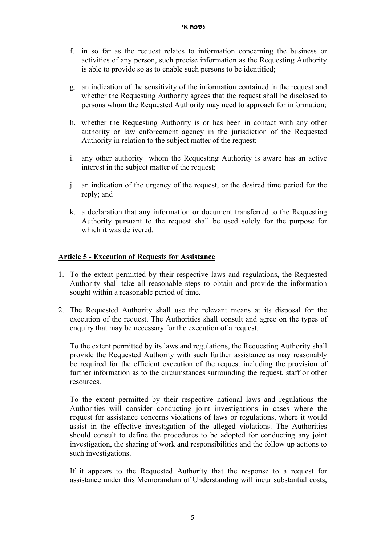- f. in so far as the request relates to information concerning the business or activities of any person, such precise information as the Requesting Authority is able to provide so as to enable such persons to be identified;
- g. an indication of the sensitivity of the information contained in the request and whether the Requesting Authority agrees that the request shall be disclosed to persons whom the Requested Authority may need to approach for information;
- h. whether the Requesting Authority is or has been in contact with any other authority or law enforcement agency in the jurisdiction of the Requested Authority in relation to the subject matter of the request;
- i. any other authority whom the Requesting Authority is aware has an active interest in the subject matter of the request;
- j. an indication of the urgency of the request, or the desired time period for the reply; and
- k. a declaration that any information or document transferred to the Requesting Authority pursuant to the request shall be used solely for the purpose for which it was delivered.

#### **Article 5 - Execution of Requests for Assistance**

- 1. To the extent permitted by their respective laws and regulations, the Requested Authority shall take all reasonable steps to obtain and provide the information sought within a reasonable period of time.
- 2. The Requested Authority shall use the relevant means at its disposal for the execution of the request. The Authorities shall consult and agree on the types of enquiry that may be necessary for the execution of a request.

To the extent permitted by its laws and regulations, the Requesting Authority shall provide the Requested Authority with such further assistance as may reasonably be required for the efficient execution of the request including the provision of further information as to the circumstances surrounding the request, staff or other resources.

To the extent permitted by their respective national laws and regulations the Authorities will consider conducting joint investigations in cases where the request for assistance concerns violations of laws or regulations, where it would assist in the effective investigation of the alleged violations. The Authorities should consult to define the procedures to be adopted for conducting any joint investigation, the sharing of work and responsibilities and the follow up actions to such investigations.

If it appears to the Requested Authority that the response to a request for assistance under this Memorandum of Understanding will incur substantial costs,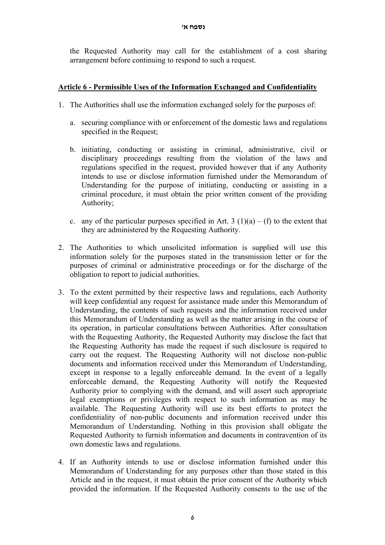the Requested Authority may call for the establishment of a cost sharing arrangement before continuing to respond to such a request.

## **Article 6 - Permissible Uses of the Information Exchanged and Confidentiality**

- 1. The Authorities shall use the information exchanged solely for the purposes of:
	- a. securing compliance with or enforcement of the domestic laws and regulations specified in the Request:
	- b. initiating, conducting or assisting in criminal, administrative, civil or disciplinary proceedings resulting from the violation of the laws and regulations specified in the request, provided however that if any Authority intends to use or disclose information furnished under the Memorandum of Understanding for the purpose of initiating, conducting or assisting in a criminal procedure, it must obtain the prior written consent of the providing Authority;
	- c. any of the particular purposes specified in Art. 3 (1)(a) (f) to the extent that they are administered by the Requesting Authority.
- 2. The Authorities to which unsolicited information is supplied will use this information solely for the purposes stated in the transmission letter or for the purposes of criminal or administrative proceedings or for the discharge of the obligation to report to judicial authorities.
- 3. To the extent permitted by their respective laws and regulations, each Authority will keep confidential any request for assistance made under this Memorandum of Understanding, the contents of such requests and the information received under this Memorandum of Understanding as well as the matter arising in the course of its operation, in particular consultations between Authorities. After consultation with the Requesting Authority, the Requested Authority may disclose the fact that the Requesting Authority has made the request if such disclosure is required to carry out the request. The Requesting Authority will not disclose non-public documents and information received under this Memorandum of Understanding, except in response to a legally enforceable demand. In the event of a legally enforceable demand, the Requesting Authority will notify the Requested Authority prior to complying with the demand, and will assert such appropriate legal exemptions or privileges with respect to such information as may be available. The Requesting Authority will use its best efforts to protect the confidentiality of non-public documents and information received under this Memorandum of Understanding. Nothing in this provision shall obligate the Requested Authority to furnish information and documents in contravention of its own domestic laws and regulations.
- 4. If an Authority intends to use or disclose information furnished under this Memorandum of Understanding for any purposes other than those stated in this Article and in the request, it must obtain the prior consent of the Authority which provided the information. If the Requested Authority consents to the use of the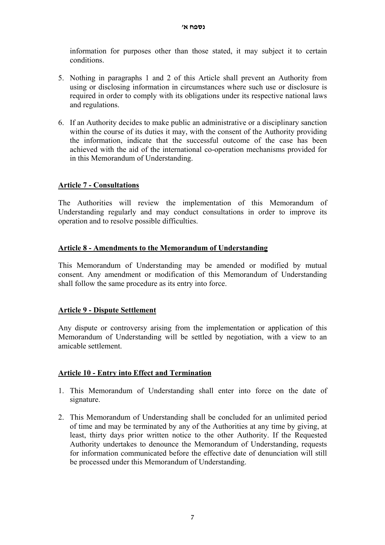information for purposes other than those stated, it may subject it to certain conditions.

- 5. Nothing in paragraphs 1 and 2 of this Article shall prevent an Authority from using or disclosing information in circumstances where such use or disclosure is required in order to comply with its obligations under its respective national laws and regulations.
- 6. If an Authority decides to make public an administrative or a disciplinary sanction within the course of its duties it may, with the consent of the Authority providing the information, indicate that the successful outcome of the case has been achieved with the aid of the international co-operation mechanisms provided for in this Memorandum of Understanding.

## **Article 7 - Consultations**

The Authorities will review the implementation of this Memorandum of Understanding regularly and may conduct consultations in order to improve its operation and to resolve possible difficulties.

## **Article 8 - Amendments to the Memorandum of Understanding**

This Memorandum of Understanding may be amended or modified by mutual consent. Any amendment or modification of this Memorandum of Understanding shall follow the same procedure as its entry into force.

## **Article 9 - Dispute Settlement**

Any dispute or controversy arising from the implementation or application of this Memorandum of Understanding will be settled by negotiation, with a view to an amicable settlement.

## **Article 10 - Entry into Effect and Termination**

- 1. This Memorandum of Understanding shall enter into force on the date of signature.
- 2. This Memorandum of Understanding shall be concluded for an unlimited period of time and may be terminated by any of the Authorities at any time by giving, at least, thirty days prior written notice to the other Authority. If the Requested Authority undertakes to denounce the Memorandum of Understanding, requests for information communicated before the effective date of denunciation will still be processed under this Memorandum of Understanding.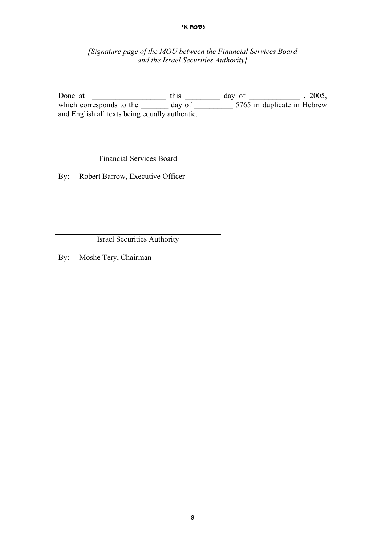#### **נספח א'**

#### *[Signature page of the MOU between the Financial Services Board and the Israel Securities Authority]*

Done at  $\qquad \qquad \text{this} \qquad \qquad \text{day of} \qquad \qquad \text{, 2005,}$ which corresponds to the day of 5765 in duplicate in Hebrew and English all texts being equally authentic.

Financial Services Board

By: Robert Barrow, Executive Officer

Israel Securities Authority

By: Moshe Tery, Chairman